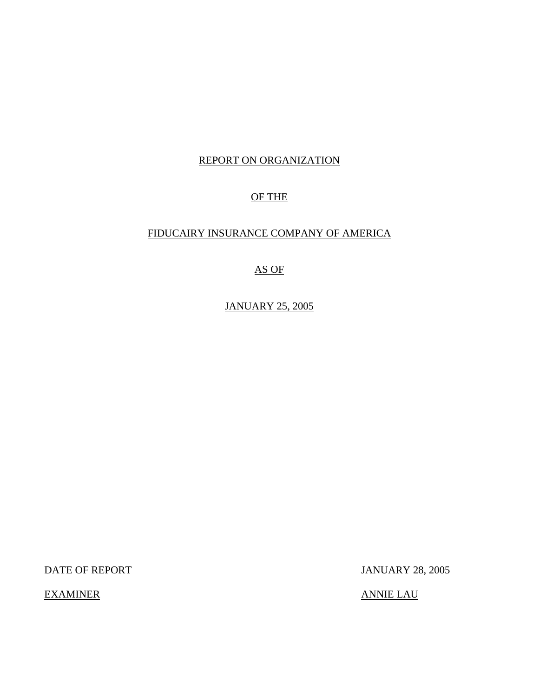## REPORT ON ORGANIZATION

## OF THE

## FIDUCAIRY INSURANCE COMPANY OF AMERICA

# AS OF

JANUARY 25, 2005

DATE OF REPORT JANUARY 28, 2005

EXAMINER ANNIE LAU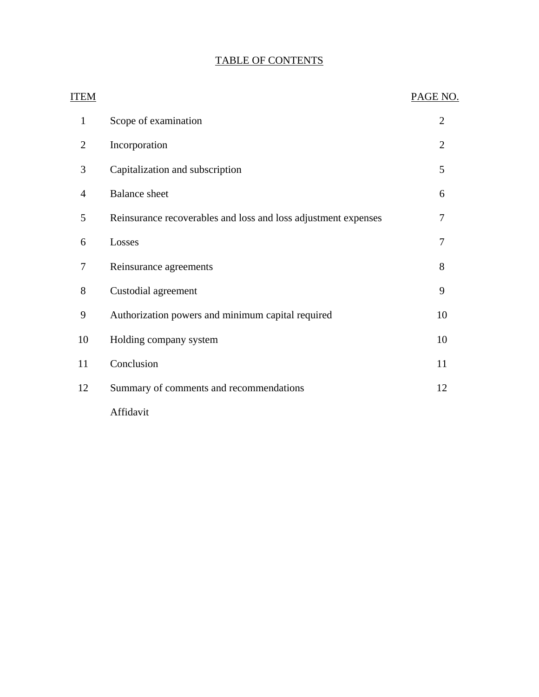| ITEM           |                                                                | PAGE NO.       |
|----------------|----------------------------------------------------------------|----------------|
| $\mathbf{1}$   | Scope of examination                                           | $\overline{2}$ |
| $\overline{2}$ | Incorporation                                                  | 2              |
| 3              | Capitalization and subscription                                | 5              |
| $\overline{4}$ | <b>Balance</b> sheet                                           | 6              |
| 5              | Reinsurance recoverables and loss and loss adjustment expenses | 7              |
| 6              | Losses                                                         | 7              |
| 7              | Reinsurance agreements                                         | 8              |
| 8              | Custodial agreement                                            | 9              |
| 9              | Authorization powers and minimum capital required              | 10             |
| 10             | Holding company system                                         | 10             |
| 11             | Conclusion                                                     | 11             |
| 12             | Summary of comments and recommendations                        | 12             |
|                | Affidavit                                                      |                |

# TABLE OF CONTENTS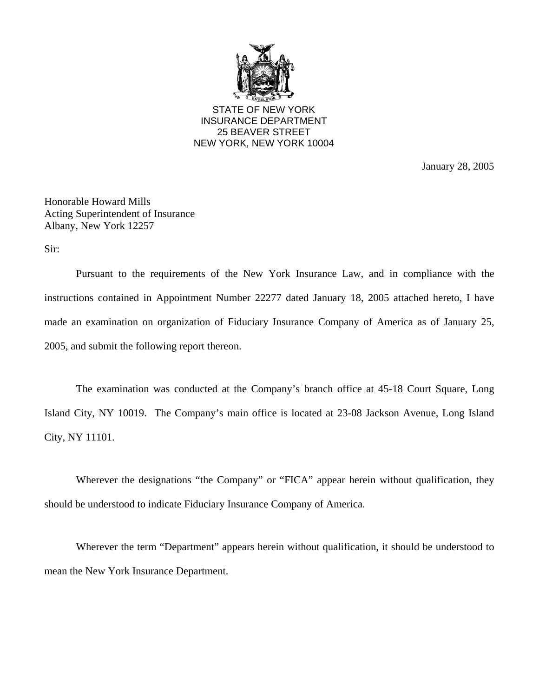

STATE OF NEW YORK INSURANCE DEPARTMENT 25 BEAVER STREET NEW YORK, NEW YORK 10004

January 28, 2005

Honorable Howard Mills Acting Superintendent of Insurance Albany, New York 12257

Sir:

Pursuant to the requirements of the New York Insurance Law, and in compliance with the instructions contained in Appointment Number 22277 dated January 18, 2005 attached hereto, I have made an examination on organization of Fiduciary Insurance Company of America as of January 25, 2005, and submit the following report thereon.

The examination was conducted at the Company's branch office at 45-18 Court Square, Long Island City, NY 10019. The Company's main office is located at 23-08 Jackson Avenue, Long Island City, NY 11101.

Wherever the designations "the Company" or "FICA" appear herein without qualification, they should be understood to indicate Fiduciary Insurance Company of America.

Wherever the term "Department" appears herein without qualification, it should be understood to mean the New York Insurance Department.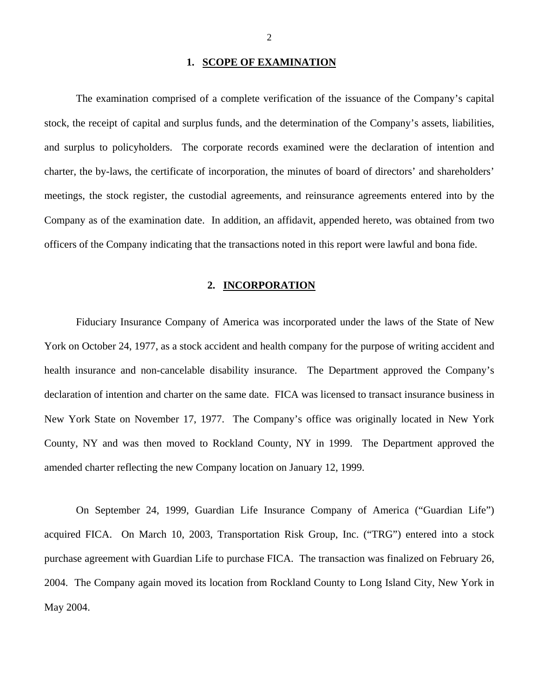### **1. SCOPE OF EXAMINATION**

<span id="page-3-0"></span>The examination comprised of a complete verification of the issuance of the Company's capital stock, the receipt of capital and surplus funds, and the determination of the Company's assets, liabilities, and surplus to policyholders. The corporate records examined were the declaration of intention and charter, the by-laws, the certificate of incorporation, the minutes of board of directors' and shareholders' meetings, the stock register, the custodial agreements, and reinsurance agreements entered into by the Company as of the examination date. In addition, an affidavit, appended hereto, was obtained from two officers of the Company indicating that the transactions noted in this report were lawful and bona fide.

#### **2. INCORPORATION**

Fiduciary Insurance Company of America was incorporated under the laws of the State of New York on October 24, 1977, as a stock accident and health company for the purpose of writing accident and health insurance and non-cancelable disability insurance. The Department approved the Company's declaration of intention and charter on the same date. FICA was licensed to transact insurance business in New York State on November 17, 1977. The Company's office was originally located in New York County, NY and was then moved to Rockland County, NY in 1999. The Department approved the amended charter reflecting the new Company location on January 12, 1999.

On September 24, 1999, Guardian Life Insurance Company of America ("Guardian Life") acquired FICA. On March 10, 2003, Transportation Risk Group, Inc. ("TRG") entered into a stock purchase agreement with Guardian Life to purchase FICA. The transaction was finalized on February 26, 2004. The Company again moved its location from Rockland County to Long Island City, New York in May 2004.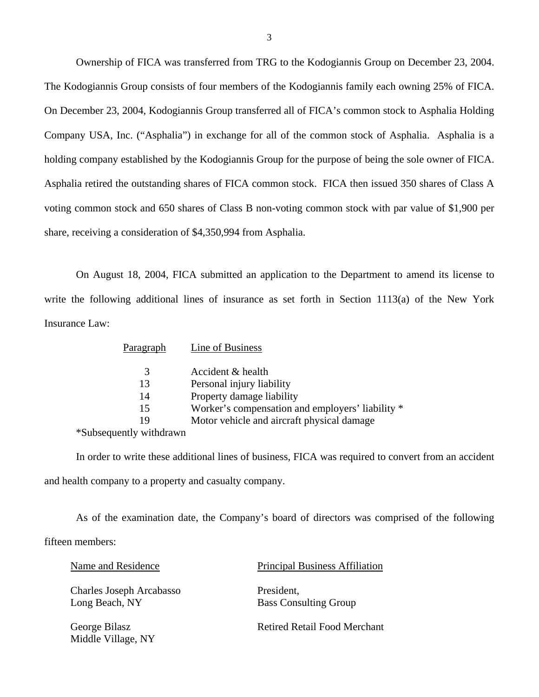Ownership of FICA was transferred from TRG to the Kodogiannis Group on December 23, 2004. The Kodogiannis Group consists of four members of the Kodogiannis family each owning 25% of FICA. On December 23, 2004, Kodogiannis Group transferred all of FICA's common stock to Asphalia Holding Company USA, Inc. ("Asphalia") in exchange for all of the common stock of Asphalia. Asphalia is a holding company established by the Kodogiannis Group for the purpose of being the sole owner of FICA. Asphalia retired the outstanding shares of FICA common stock. FICA then issued 350 shares of Class A voting common stock and 650 shares of Class B non-voting common stock with par value of \$1,900 per share, receiving a consideration of \$4,350,994 from Asphalia.

On August 18, 2004, FICA submitted an application to the Department to amend its license to write the following additional lines of insurance as set forth in Section 1113(a) of the New York Insurance Law:

| Paragraph | Line of Business                                 |
|-----------|--------------------------------------------------|
| 3         | Accident & health                                |
| 13        | Personal injury liability                        |
| 14        | Property damage liability                        |
| 15        | Worker's compensation and employers' liability * |
| 19        | Motor vehicle and aircraft physical damage       |
|           |                                                  |

\*Subsequently withdrawn

In order to write these additional lines of business, FICA was required to convert from an accident and health company to a property and casualty company.

As of the examination date, the Company's board of directors was comprised of the following

fifteen members:

| Name and Residence                         | <b>Principal Business Affiliation</b>      |
|--------------------------------------------|--------------------------------------------|
| Charles Joseph Arcabasso<br>Long Beach, NY | President,<br><b>Bass Consulting Group</b> |
| George Bilasz<br>Middle Village, NY        | Retired Retail Food Merchant               |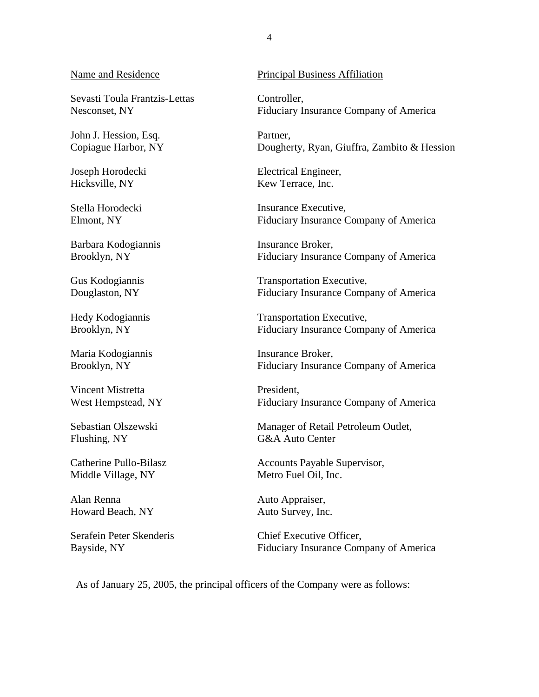#### Name and Residence

Sevasti Toula Frantzis-Lettas Nesconset, NY

John J. Hession, Esq. Copiague Harbor, NY

Joseph Horodecki Hicksville, NY

Stella Horodecki Elmont, NY

Barbara Kodogiannis Brooklyn, NY

Gus Kodogiannis Douglaston, NY

Hedy Kodogiannis Brooklyn, NY

Maria Kodogiannis Brooklyn, NY

Vincent Mistretta West Hempstead, NY

Sebastian Olszewski Flushing, NY

Catherine Pullo-Bilasz Middle Village, NY

Alan Renna Howard Beach, NY

Serafein Peter Skenderis Bayside, NY

#### Principal Business Affiliation

Controller, Fiduciary Insurance Company of America

Partner, Dougherty, Ryan, Giuffra, Zambito & Hession

Electrical Engineer, Kew Terrace, Inc.

Insurance Executive, Fiduciary Insurance Company of America

Insurance Broker, Fiduciary Insurance Company of America

Transportation Executive, Fiduciary Insurance Company of America

Transportation Executive, Fiduciary Insurance Company of America

Insurance Broker, Fiduciary Insurance Company of America

President, Fiduciary Insurance Company of America

Manager of Retail Petroleum Outlet, G&A Auto Center

Accounts Payable Supervisor, Metro Fuel Oil, Inc.

Auto Appraiser, Auto Survey, Inc.

Chief Executive Officer, Fiduciary Insurance Company of America

As of January 25, 2005, the principal officers of the Company were as follows: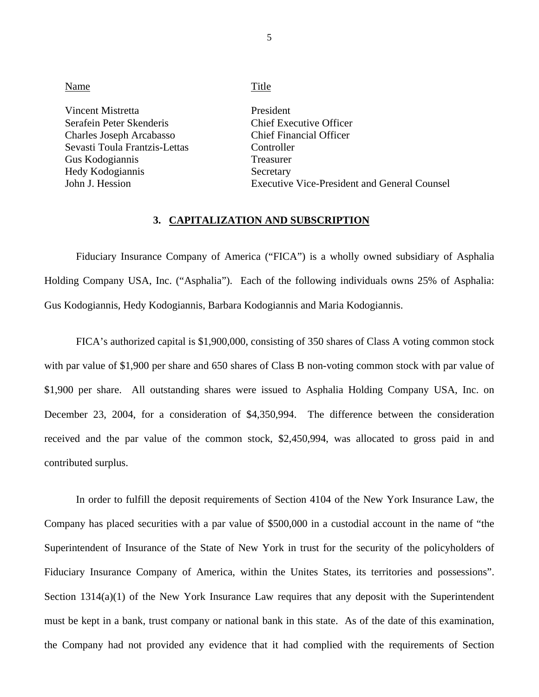| Name                                                                                                                                                                 | Title                                                                                                                                                                 |
|----------------------------------------------------------------------------------------------------------------------------------------------------------------------|-----------------------------------------------------------------------------------------------------------------------------------------------------------------------|
| Vincent Mistretta<br>Serafein Peter Skenderis<br>Charles Joseph Arcabasso<br>Sevasti Toula Frantzis-Lettas<br>Gus Kodogiannis<br>Hedy Kodogiannis<br>John J. Hession | President<br>Chief Executive Officer<br><b>Chief Financial Officer</b><br>Controller<br>Treasurer<br>Secretary<br><b>Executive Vice-President and General Counsel</b> |
|                                                                                                                                                                      |                                                                                                                                                                       |

#### **3. CAPITALIZATION AND SUBSCRIPTION**

Fiduciary Insurance Company of America ("FICA") is a wholly owned subsidiary of Asphalia Holding Company USA, Inc. ("Asphalia"). Each of the following individuals owns 25% of Asphalia: Gus Kodogiannis, Hedy Kodogiannis, Barbara Kodogiannis and Maria Kodogiannis.

FICA's authorized capital is \$1,900,000, consisting of 350 shares of Class A voting common stock with par value of \$1,900 per share and 650 shares of Class B non-voting common stock with par value of \$1,900 per share. All outstanding shares were issued to Asphalia Holding Company USA, Inc. on December 23, 2004, for a consideration of \$4,350,994. The difference between the consideration received and the par value of the common stock, \$2,450,994, was allocated to gross paid in and contributed surplus.

Fiduciary Insurance Company of America, within the Unites States, its territories and possessions".<br>Section 1314(a)(1) of the New York Insurance Law requires that any deposit with the Superintendent In order to fulfill the deposit requirements of Section 4104 of the New York Insurance Law, the Company has placed securities with a par value of \$500,000 in a custodial account in the name of "the Superintendent of Insurance of the State of New York in trust for the security of the policyholders of must be kept in a bank, trust company or national bank in this state. As of the date of this examination, the Company had not provided any evidence that it had complied with the requirements of Section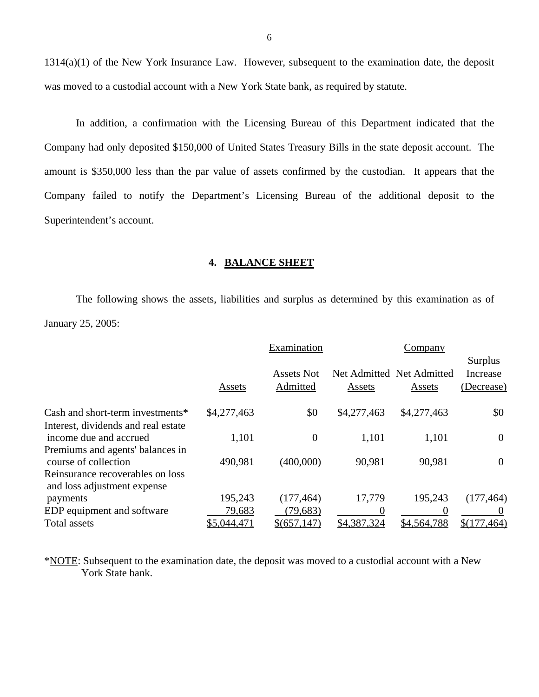1314(a)(1) of the New York Insurance Law. However, subsequent to the examination date, the deposit was moved to a custodial account with a New York State bank, as required by statute.

In addition, a confirmation with the Licensing Bureau of this Department indicated that the Company had only deposited \$150,000 of United States Treasury Bills in the state deposit account. The amount is \$350,000 less than the par value of assets confirmed by the custodian. It appears that the Company failed to notify the Department's Licensing Bureau of the additional deposit to the Superintendent's account.

#### **4. BALANCE SHEET**

The following shows the assets, liabilities and surplus as determined by this examination as of January 25, 2005:

|                                                                 |             | Examination                   |             | Company                             |                                   |
|-----------------------------------------------------------------|-------------|-------------------------------|-------------|-------------------------------------|-----------------------------------|
|                                                                 | Assets      | <b>Assets Not</b><br>Admitted | Assets      | Net Admitted Net Admitted<br>Assets | Surplus<br>Increase<br>(Decrease) |
| Cash and short-term investments*                                | \$4,277,463 | \$0                           | \$4,277,463 | \$4,277,463                         | \$0                               |
| Interest, dividends and real estate<br>income due and accrued   | 1,101       | $\boldsymbol{0}$              | 1,101       | 1,101                               | $\boldsymbol{0}$                  |
| Premiums and agents' balances in<br>course of collection        | 490,981     | (400,000)                     | 90,981      | 90,981                              | $\boldsymbol{0}$                  |
| Reinsurance recoverables on loss<br>and loss adjustment expense |             |                               |             |                                     |                                   |
| payments                                                        | 195,243     | (177, 464)                    | 17,779      | 195,243                             | (177, 464)                        |
| EDP equipment and software                                      | 79,683      | (79, 683)                     |             | 0                                   |                                   |
| Total assets                                                    | \$5,044,471 | \$ (657, 147)                 | \$4,387,324 | \$4,564,788                         | \$(177,464)                       |

\*NOTE: Subsequent to the examination date, the deposit was moved to a custodial account with a New York State bank.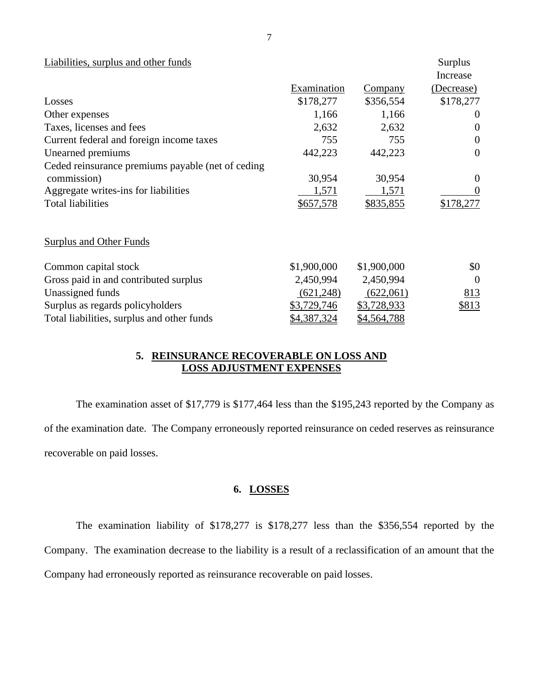<span id="page-8-0"></span>

| Liabilities, surplus and other funds              |             |                | Surplus<br>Increase |
|---------------------------------------------------|-------------|----------------|---------------------|
|                                                   | Examination | <b>Company</b> | (Decrease)          |
| Losses                                            | \$178,277   | \$356,554      | \$178,277           |
| Other expenses                                    | 1,166       | 1,166          | $\Omega$            |
| Taxes, licenses and fees                          | 2,632       | 2,632          | $\overline{0}$      |
| Current federal and foreign income taxes          | 755         | 755            | $\overline{0}$      |
| Unearned premiums                                 | 442,223     | 442,223        | $\theta$            |
| Ceded reinsurance premiums payable (net of ceding |             |                |                     |
| commission)                                       | 30,954      | 30,954         | $\theta$            |
| Aggregate writes-ins for liabilities              | 1,571       | 1,571          | $\overline{0}$      |
| <b>Total liabilities</b>                          | \$657,578   | \$835,855      | \$178,277           |
| <b>Surplus and Other Funds</b>                    |             |                |                     |
| Common capital stock                              | \$1,900,000 | \$1,900,000    | \$0                 |
| Gross paid in and contributed surplus             | 2,450,994   | 2,450,994      | $\Omega$            |
| Unassigned funds                                  | (621, 248)  | (622,061)      | 813                 |
| Surplus as regards policyholders                  | \$3,729,746 | \$3,728,933    | \$813               |
| Total liabilities, surplus and other funds        | \$4,387,324 | \$4,564,788    |                     |

## **5. REINSURANCE RECOVERABLE ON LOSS AND LOSS ADJUSTMENT EXPENSES**

The examination asset of \$17,779 is \$177,464 less than the \$195,243 reported by the Company as of the examination date. The Company erroneously reported reinsurance on ceded reserves as reinsurance recoverable on paid losses.

# **6. LOSSES**

The examination liability of \$178,277 is \$178,277 less than the \$356,554 reported by the Company. The examination decrease to the liability is a result of a reclassification of an amount that the Company had erroneously reported as reinsurance recoverable on paid losses.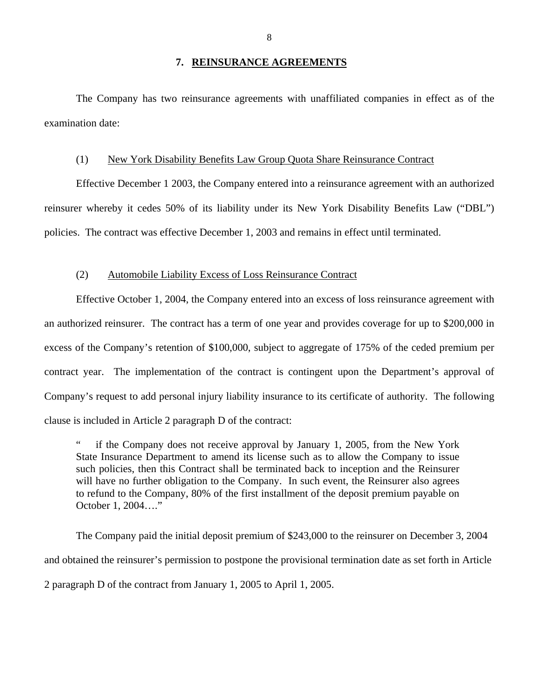#### **7. REINSURANCE AGREEMENTS**

<span id="page-9-0"></span>The Company has two reinsurance agreements with unaffiliated companies in effect as of the examination date:

#### (1) New York Disability Benefits Law Group Quota Share Reinsurance Contract

Effective December 1 2003, the Company entered into a reinsurance agreement with an authorized reinsurer whereby it cedes 50% of its liability under its New York Disability Benefits Law ("DBL") policies. The contract was effective December 1, 2003 and remains in effect until terminated.

#### (2) Automobile Liability Excess of Loss Reinsurance Contract

Effective October 1, 2004, the Company entered into an excess of loss reinsurance agreement with an authorized reinsurer. The contract has a term of one year and provides coverage for up to \$200,000 in excess of the Company's retention of \$100,000, subject to aggregate of 175% of the ceded premium per contract year. The implementation of the contract is contingent upon the Department's approval of Company's request to add personal injury liability insurance to its certificate of authority. The following clause is included in Article 2 paragraph D of the contract:

if the Company does not receive approval by January 1, 2005, from the New York State Insurance Department to amend its license such as to allow the Company to issue such policies, then this Contract shall be terminated back to inception and the Reinsurer will have no further obligation to the Company. In such event, the Reinsurer also agrees to refund to the Company, 80% of the first installment of the deposit premium payable on October 1, 2004…."

The Company paid the initial deposit premium of \$243,000 to the reinsurer on December 3, 2004 and obtained the reinsurer's permission to postpone the provisional termination date as set forth in Article 2 paragraph D of the contract from January 1, 2005 to April 1, 2005.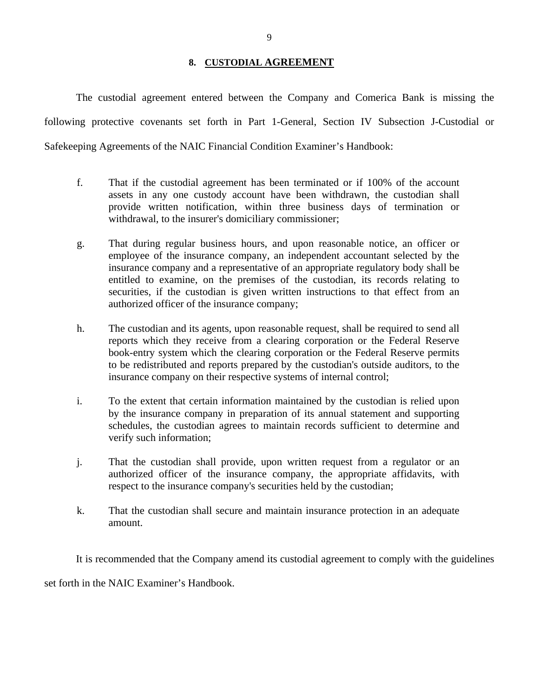## **8. CUSTODIAL AGREEMENT**

The custodial agreement entered between the Company and Comerica Bank is missing the following protective covenants set forth in Part 1-General, Section IV Subsection J-Custodial or Safekeeping Agreements of the NAIC Financial Condition Examiner's Handbook:

- f. That if the custodial agreement has been terminated or if 100% of the account assets in any one custody account have been withdrawn, the custodian shall provide written notification, within three business days of termination or withdrawal, to the insurer's domiciliary commissioner;
- g. That during regular business hours, and upon reasonable notice, an officer or employee of the insurance company, an independent accountant selected by the insurance company and a representative of an appropriate regulatory body shall be entitled to examine, on the premises of the custodian, its records relating to securities, if the custodian is given written instructions to that effect from an authorized officer of the insurance company;
- h. The custodian and its agents, upon reasonable request, shall be required to send all reports which they receive from a clearing corporation or the Federal Reserve book-entry system which the clearing corporation or the Federal Reserve permits to be redistributed and reports prepared by the custodian's outside auditors, to the insurance company on their respective systems of internal control;
- i. To the extent that certain information maintained by the custodian is relied upon by the insurance company in preparation of its annual statement and supporting schedules, the custodian agrees to maintain records sufficient to determine and verify such information;
- j. That the custodian shall provide, upon written request from a regulator or an authorized officer of the insurance company, the appropriate affidavits, with respect to the insurance company's securities held by the custodian;
- k. That the custodian shall secure and maintain insurance protection in an adequate amount.

It is recommended that the Company amend its custodial agreement to comply with the guidelines

set forth in the NAIC Examiner's Handbook.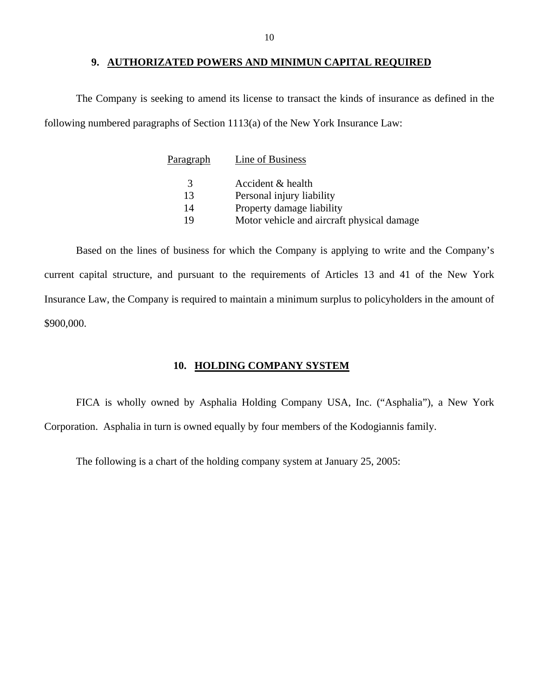#### **9. AUTHORIZATED POWERS AND MINIMUN CAPITAL REQUIRED**

<span id="page-11-0"></span>The Company is seeking to amend its license to transact the kinds of insurance as defined in the following numbered paragraphs of Section 1113(a) of the New York Insurance Law:

| Paragraph     | Line of Business                           |
|---------------|--------------------------------------------|
| $\mathcal{R}$ | Accident & health                          |
| 13            | Personal injury liability                  |
| 14            | Property damage liability                  |
| 19            | Motor vehicle and aircraft physical damage |
|               |                                            |

Based on the lines of business for which the Company is applying to write and the Company's current capital structure, and pursuant to the requirements of Articles 13 and 41 of the New York Insurance Law, the Company is required to maintain a minimum surplus to policyholders in the amount of \$900,000.

#### **10. HOLDING COMPANY SYSTEM**

FICA is wholly owned by Asphalia Holding Company USA, Inc. ("Asphalia"), a New York Corporation. Asphalia in turn is owned equally by four members of the Kodogiannis family.

The following is a chart of the holding company system at January 25, 2005: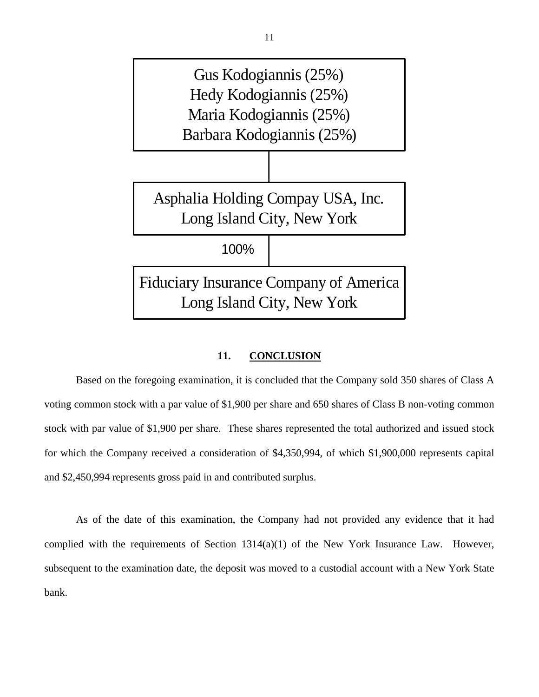

#### **11. CONCLUSION**

Based on the foregoing examination, it is concluded that the Company sold 350 shares of Class A voting common stock with a par value of \$1,900 per share and 650 shares of Class B non-voting common stock with par value of \$1,900 per share. These shares represented the total authorized and issued stock for which the Company received a consideration of \$4,350,994, of which \$1,900,000 represents capital and \$2,450,994 represents gross paid in and contributed surplus.

As of the date of this examination, the Company had not provided any evidence that it had complied with the requirements of Section  $1314(a)(1)$  of the New York Insurance Law. However, subsequent to the examination date, the deposit was moved to a custodial account with a New York State bank.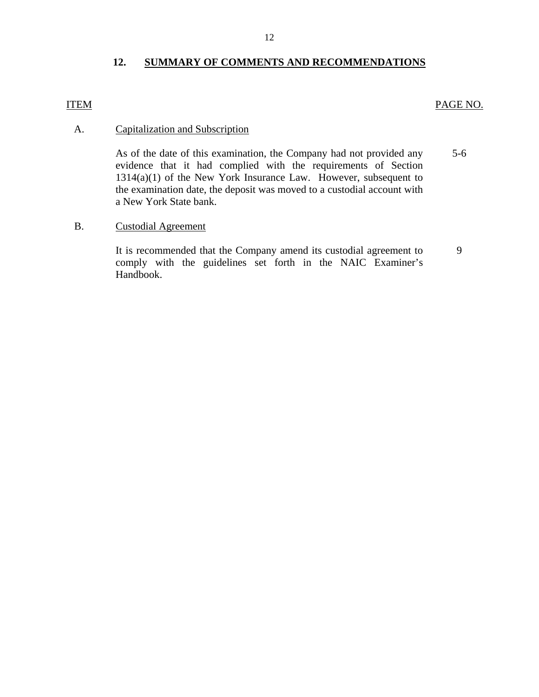## **12. SUMMARY OF COMMENTS AND RECOMMENDATIONS**

## <span id="page-13-0"></span>**ITEM**

## PAGE NO.

## **Capitalization and Subscription**

5-6 A. Capitalization and Subscription<br>As of the date of this examination, the Company had not provided any evidence that it had complied with the requirements of Section 1314(a)(1) of the New York Insurance Law. However, subsequent to the examination date, the deposit was moved to a custodial account with a New York State bank.

#### B. Custodial Agreement

It is recommended that the Company amend its custodial agreement to comply with the guidelines set forth in the NAIC Examiner's Handbook. 9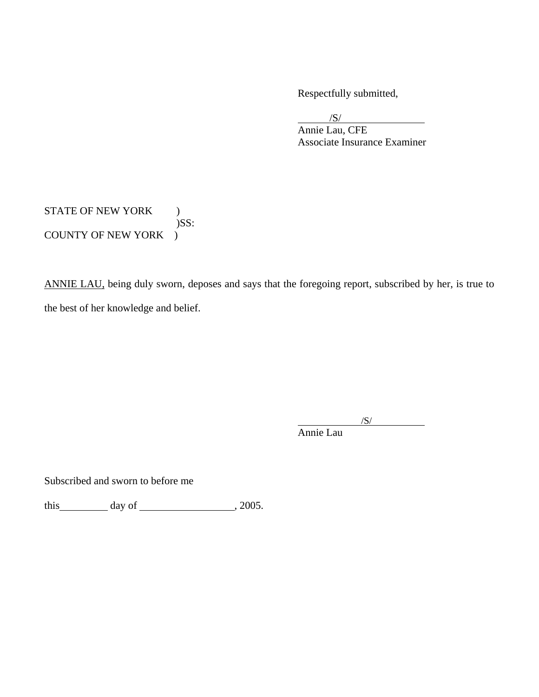Respectfully submitted,

 $\overline{a}$  $\overline{\phantom{a}}$ /S/

 Annie Lau, CFE Associate Insurance Examiner

STATE OF NEW YORK ) )SS: COUNTY OF NEW YORK )

ANNIE LAU, being duly sworn, deposes and says that the foregoing report, subscribed by her, is true to the best of her knowledge and belief.

 $\sqrt{S/}$ Annie Lau

Subscribed and sworn to before me

this  $\qquad \qquad \text{day of} \qquad \qquad .2005.$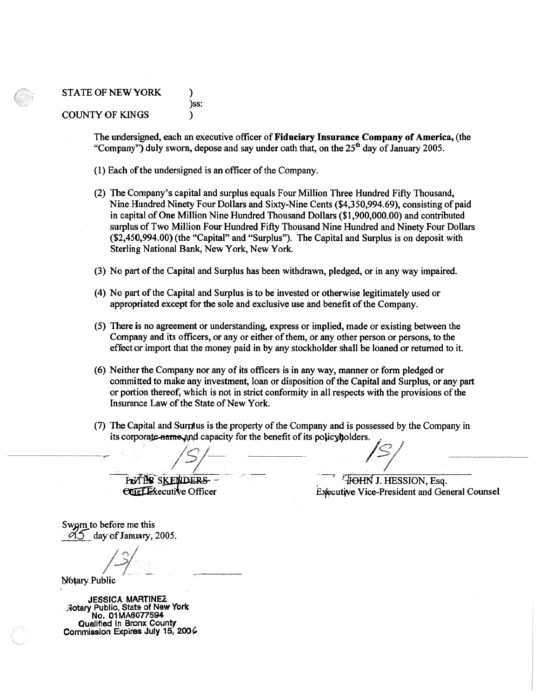#### STATE OF NEW YORK  $\qquad \qquad$  ) )ss: COUNTY OF KINGS )

The undersigned, each an executive officer of**Fiduciary Insurance Company of America,** (the "Company") duly sworn, depose and say under oath that, on the  $25<sup>th</sup>$  day of January 2005.

- (1) Each of the undersigned is an officer of the Company.
- (2) The Company's capital and surplus equals Four Million Three Hundred Fifty Thousand, Nine Hundred Ninety Four Dollars and Sixty-Nine Cents (\$[4,350,994.69\)](https://4,350,994.69), consisting of paid in capital of One Million Nine Hundred Thousand Dollars ([\\$1,900,000.00](https://1,900,000.00)) and contributed surplus of Two Million Four Hundred Fifty Thousand Nine Hundred and Ninety Four Dollars (\$[2,450,994.00](https://2,450,994.00)) (the "Capital" and "Surplus"). The Capital and Surplus is on deposit with Sterling National Bank, New York, New York.
- (3) No part ofthe Capital and Surplus has been withdrawn, pledged, or in any way impaired.
- (4) No part ofthe Capital and Surplus is to be invested or otherwise legitimately used or appropriated except for the sole and exclusive use and benefit ofthe Company.
- (5) There is no agreement or understanding, express or implied, made or existing between the Company and its officers, or any or either ofthem, or any other person or persons, to the effect or import that the money paid in by any stockholder shall be loaned or returned to it.
- (6) Neither the Company nor any of its officers is in any way, manner or form pledged or committed to make any investment, loan or disposition of the Capital and Surplus, or any part or portion thereof, which is not in strict conformity in all respects with the provisions ofthe Insurance Law of the State of New York.
- (7) The Capital and Sumfus is the property of the Company and is possessed by the Company in its corporate name and capacity for the benefit of its policyholders. Insurance Law of the State of New York.<br>
(7) The Capital and Surplus is the property of the Company and is possessed by the its corporate name and capacity for the benefit of its policyholders.

Prof BR SKENDERS - TOHN J. HESSION, Esq.

PETER SKENDERS<br>
Executive Officer Executive Vice-President and General Counsel

Swgrn to before me this  $\partial$ *S* day of January, 2005.

Notary Public

**JESSlCA MARTINEZ ,1otary** Public, State of **New York No. 01 MA6077594**  Qualified in Bronx County Commission Expires July 15, 2006